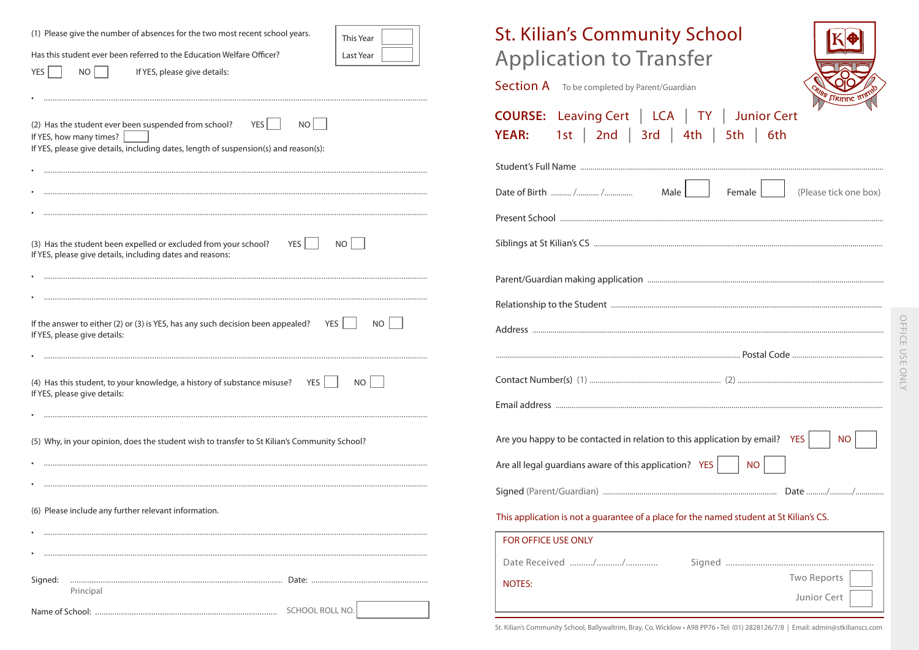| (1) Please give the number of absences for the two most recent school years.<br>This Year<br>Has this student ever been referred to the Education Welfare Officer?<br>Last Year<br>NO<br>YES<br>If YES, please give details: | <b>St. Kilian's Community School</b><br><b>Application to Transfer</b><br><b>Section A</b> To be completed by Parent/Guardian |
|------------------------------------------------------------------------------------------------------------------------------------------------------------------------------------------------------------------------------|-------------------------------------------------------------------------------------------------------------------------------|
| (2) Has the student ever been suspended from school?<br>$YES$  <br>NO<br>If YES, how many times?<br>If YES, please give details, including dates, length of suspension(s) and reason(s):                                     | <b>COURSE:</b> Leaving Cert   LCA   TY  <br><b>Junior Cert</b><br>1st   2nd   3rd   4th   5th  <br>6th<br><b>YEAR:</b>        |
|                                                                                                                                                                                                                              |                                                                                                                               |
|                                                                                                                                                                                                                              | (Please tick one box)<br>Male  <br>Female                                                                                     |
|                                                                                                                                                                                                                              |                                                                                                                               |
| (3) Has the student been expelled or excluded from your school? YES<br>NO  <br>If YES, please give details, including dates and reasons:                                                                                     |                                                                                                                               |
|                                                                                                                                                                                                                              |                                                                                                                               |
|                                                                                                                                                                                                                              |                                                                                                                               |
| If the answer to either (2) or (3) is YES, has any such decision been appealed? YES $\Box$<br>NO I<br>If YES, please give details:                                                                                           |                                                                                                                               |
|                                                                                                                                                                                                                              |                                                                                                                               |
| (4) Has this student, to your knowledge, a history of substance misuse? $YES$<br>NO II<br>If YES, please give details:                                                                                                       |                                                                                                                               |
|                                                                                                                                                                                                                              |                                                                                                                               |
| (5) Why, in your opinion, does the student wish to transfer to St Kilian's Community School?                                                                                                                                 | Are you happy to be contacted in relation to this application by email? YES<br><b>NO</b>                                      |
|                                                                                                                                                                                                                              | Are all legal guardians aware of this application? YES<br><b>NO</b>                                                           |
|                                                                                                                                                                                                                              |                                                                                                                               |
| (6) Please include any further relevant information.                                                                                                                                                                         | This application is not a guarantee of a place for the named student at St Kilian's CS.                                       |
|                                                                                                                                                                                                                              | FOR OFFICE USE ONLY                                                                                                           |
|                                                                                                                                                                                                                              |                                                                                                                               |
| Principal                                                                                                                                                                                                                    | Two Reports<br><b>NOTES:</b><br>Junior Cert                                                                                   |
|                                                                                                                                                                                                                              |                                                                                                                               |

St. Kilian's Community School, Ballywaltrim, Bray, Co. Wicklow · A98 PP76 · Tel: (01) 2828126/7/8 | Email: admin@stkilianscs.com

OFFICE USE ONLY